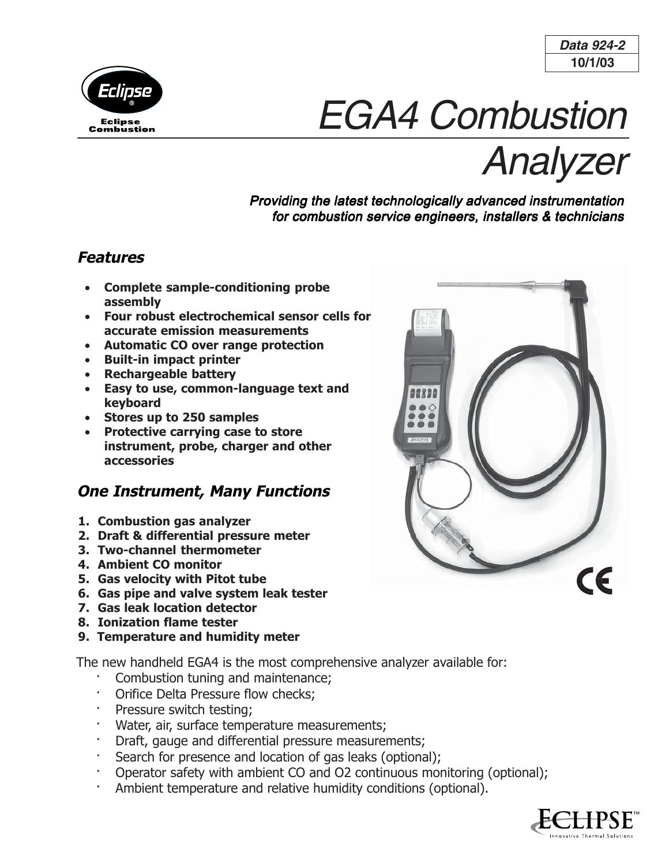



# EGA4 Combustion

Analyzer

## Providing the latest technologically advanced instrumentation for combustion service engineers, installers & technicians

## **Features**

- **Complete sample-conditioning probe assembly**
- **Four robust electrochemical sensor cells for accurate emission measurements**
- **Automatic CO over range protection**
- **Built-in impact printer**
- **Rechargeable battery**
- **Easy to use, common-language text and keyboard**
- **Stores up to 250 samples**
- **Protective carrying case to store instrument, probe, charger and other accessories**

# **One Instrument, Many Functions**

- **1. Combustion gas analyzer**
- **2. Draft & differential pressure meter**
- **3. Two-channel thermometer**
- **4. Ambient CO monitor**
- **5. Gas velocity with Pitot tube**
- **6. Gas pipe and valve system leak tester**
- **7. Gas leak location detector**
- **8. Ionization flame tester**
- **9. Temperature and humidity meter**

The new handheld EGA4 is the most comprehensive analyzer available for:

- Combustion tuning and maintenance;
- · Orifice Delta Pressure flow checks;
- Pressure switch testing;
- Water, air, surface temperature measurements;
- · Draft, gauge and differential pressure measurements;
- Search for presence and location of gas leaks (optional);
- · Operator safety with ambient CO and O2 continuous monitoring (optional);
- Ambient temperature and relative humidity conditions (optional).



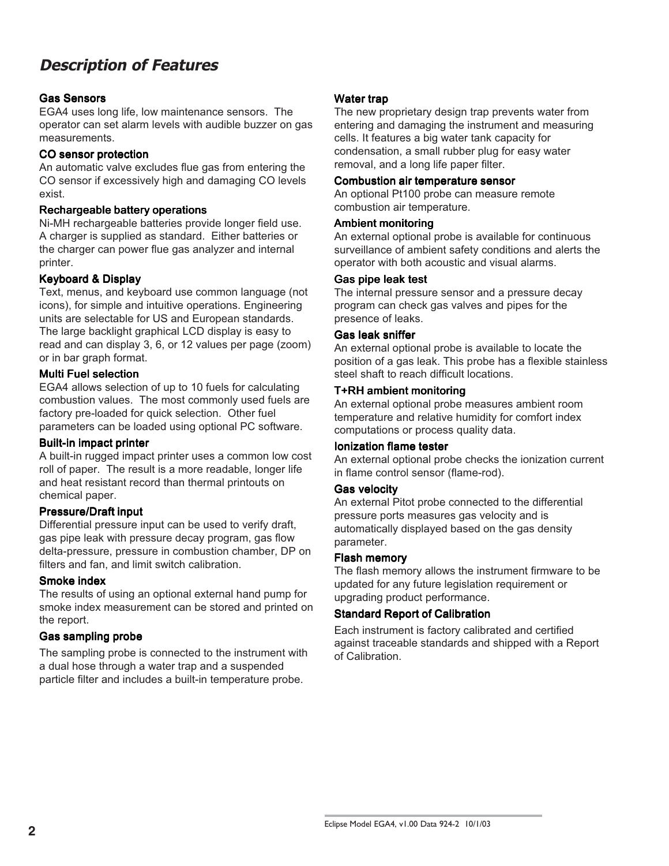# **Description of Features**

#### Gas Sensors

EGA4 uses long life, low maintenance sensors. The operator can set alarm levels with audible buzzer on gas measurements.

#### CO sensor protection

An automatic valve excludes flue gas from entering the CO sensor if excessively high and damaging CO levels exist.

#### Rechargeable battery operations

Ni-MH rechargeable batteries provide longer field use. A charger is supplied as standard. Either batteries or the charger can power flue gas analyzer and internal printer.

#### Keyboard & Display

Text, menus, and keyboard use common language (not icons), for simple and intuitive operations. Engineering units are selectable for US and European standards. The large backlight graphical LCD display is easy to read and can display 3, 6, or 12 values per page (zoom) or in bar graph format.

#### Multi Fuel selection

EGA4 allows selection of up to 10 fuels for calculating combustion values. The most commonly used fuels are factory pre-loaded for quick selection. Other fuel parameters can be loaded using optional PC software.

#### Built-in impact printer

A built-in rugged impact printer uses a common low cost roll of paper. The result is a more readable, longer life and heat resistant record than thermal printouts on chemical paper.

#### **Pressure/Draft input**

Differential pressure input can be used to verify draft, gas pipe leak with pressure decay program, gas flow delta-pressure, pressure in combustion chamber, DP on filters and fan, and limit switch calibration.

#### Smoke index

The results of using an optional external hand pump for smoke index measurement can be stored and printed on the report.

#### Gas sampling probe

The sampling probe is connected to the instrument with a dual hose through a water trap and a suspended particle filter and includes a built-in temperature probe.

#### Water trap

The new proprietary design trap prevents water from entering and damaging the instrument and measuring cells. It features a big water tank capacity for condensation, a small rubber plug for easy water removal, and a long life paper filter.

#### Combustion air temperature sensor

An optional Pt100 probe can measure remote combustion air temperature.

#### Ambient monitoring

An external optional probe is available for continuous surveillance of ambient safety conditions and alerts the operator with both acoustic and visual alarms.

#### Gas pipe leak test

The internal pressure sensor and a pressure decay program can check gas valves and pipes for the presence of leaks.

#### Gas leak sniffer

An external optional probe is available to locate the position of a gas leak. This probe has a flexible stainless steel shaft to reach difficult locations.

#### T+RH ambient monitoring

An external optional probe measures ambient room temperature and relative humidity for comfort index computations or process quality data.

#### Ionization flame tester

An external optional probe checks the ionization current in flame control sensor (flame-rod).

#### Gas velocity

An external Pitot probe connected to the differential pressure ports measures gas velocity and is automatically displayed based on the gas density parameter.

#### Flash memory

The flash memory allows the instrument firmware to be updated for any future legislation requirement or upgrading product performance.

#### Standard Report of Calibration

Each instrument is factory calibrated and certified against traceable standards and shipped with a Report of Calibration.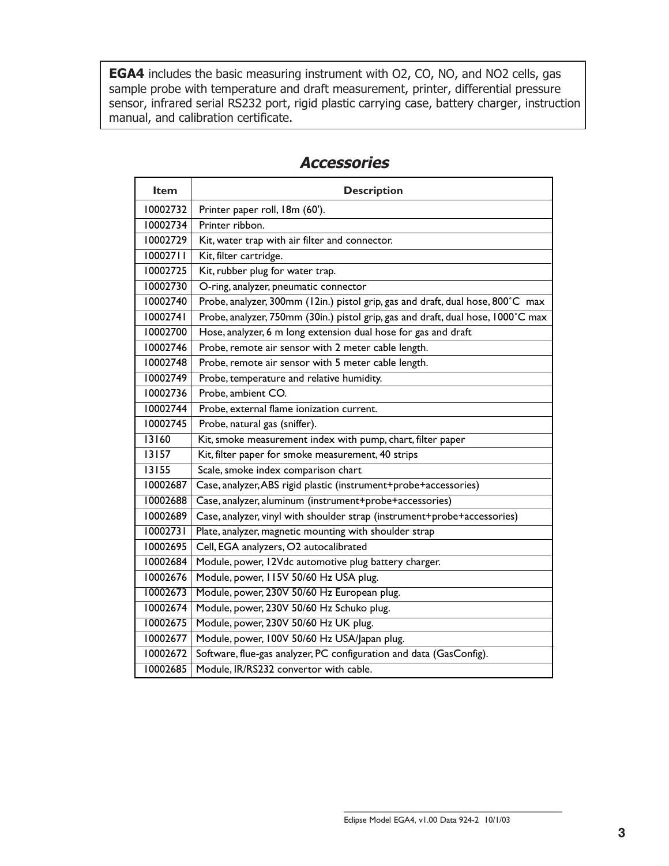**EGA4** includes the basic measuring instrument with O2, CO, NO, and NO2 cells, gas sample probe with temperature and draft measurement, printer, differential pressure sensor, infrared serial RS232 port, rigid plastic carrying case, battery charger, instruction manual, and calibration certificate.

| <b>Item</b> | <b>Description</b>                                                               |  |  |  |
|-------------|----------------------------------------------------------------------------------|--|--|--|
| 10002732    | Printer paper roll, 18m (60').                                                   |  |  |  |
| 10002734    | Printer ribbon.                                                                  |  |  |  |
| 10002729    | Kit, water trap with air filter and connector.                                   |  |  |  |
| 10002711    | Kit, filter cartridge.                                                           |  |  |  |
| 10002725    | Kit, rubber plug for water trap.                                                 |  |  |  |
| 10002730    | O-ring, analyzer, pneumatic connector                                            |  |  |  |
| 10002740    | Probe, analyzer, 300mm (12in.) pistol grip, gas and draft, dual hose, 800°C max  |  |  |  |
| 10002741    | Probe, analyzer, 750mm (30in.) pistol grip, gas and draft, dual hose, 1000°C max |  |  |  |
| 10002700    | Hose, analyzer, 6 m long extension dual hose for gas and draft                   |  |  |  |
| 10002746    | Probe, remote air sensor with 2 meter cable length.                              |  |  |  |
| 10002748    | Probe, remote air sensor with 5 meter cable length.                              |  |  |  |
| 10002749    | Probe, temperature and relative humidity.                                        |  |  |  |
| 10002736    | Probe, ambient CO.                                                               |  |  |  |
| 10002744    | Probe, external flame ionization current.                                        |  |  |  |
| 10002745    | Probe, natural gas (sniffer).                                                    |  |  |  |
| 13160       | Kit, smoke measurement index with pump, chart, filter paper                      |  |  |  |
| 13157       | Kit, filter paper for smoke measurement, 40 strips                               |  |  |  |
| 13155       | Scale, smoke index comparison chart                                              |  |  |  |
| 10002687    | Case, analyzer, ABS rigid plastic (instrument+probe+accessories)                 |  |  |  |
| 10002688    | Case, analyzer, aluminum (instrument+probe+accessories)                          |  |  |  |
| 10002689    | Case, analyzer, vinyl with shoulder strap (instrument+probe+accessories)         |  |  |  |
| 10002731    | Plate, analyzer, magnetic mounting with shoulder strap                           |  |  |  |
| 10002695    | Cell, EGA analyzers, O2 autocalibrated                                           |  |  |  |
| 10002684    | Module, power, 12Vdc automotive plug battery charger.                            |  |  |  |
| 10002676    | Module, power, I I5V 50/60 Hz USA plug.                                          |  |  |  |
| 10002673    | Module, power, 230V 50/60 Hz European plug.                                      |  |  |  |
| 10002674    | Module, power, 230V 50/60 Hz Schuko plug.                                        |  |  |  |
| 10002675    | Module, power, 230V 50/60 Hz UK plug.                                            |  |  |  |
| 10002677    | Module, power, 100V 50/60 Hz USA/Japan plug.                                     |  |  |  |
| 10002672    | Software, flue-gas analyzer, PC configuration and data (GasConfig).              |  |  |  |
| 10002685    | Module, IR/RS232 convertor with cable.                                           |  |  |  |

## **Accessories**